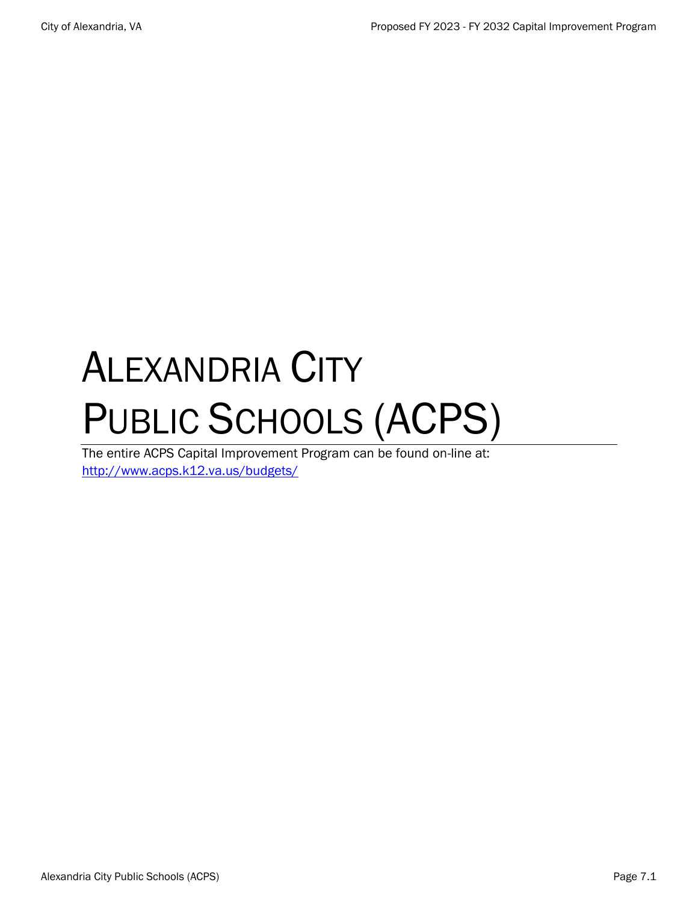# ALEXANDRIA CITY PUBLIC SCHOOLS (ACPS)

The entire ACPS Capital Improvement Program can be found on-line at: <http://www.acps.k12.va.us/budgets/>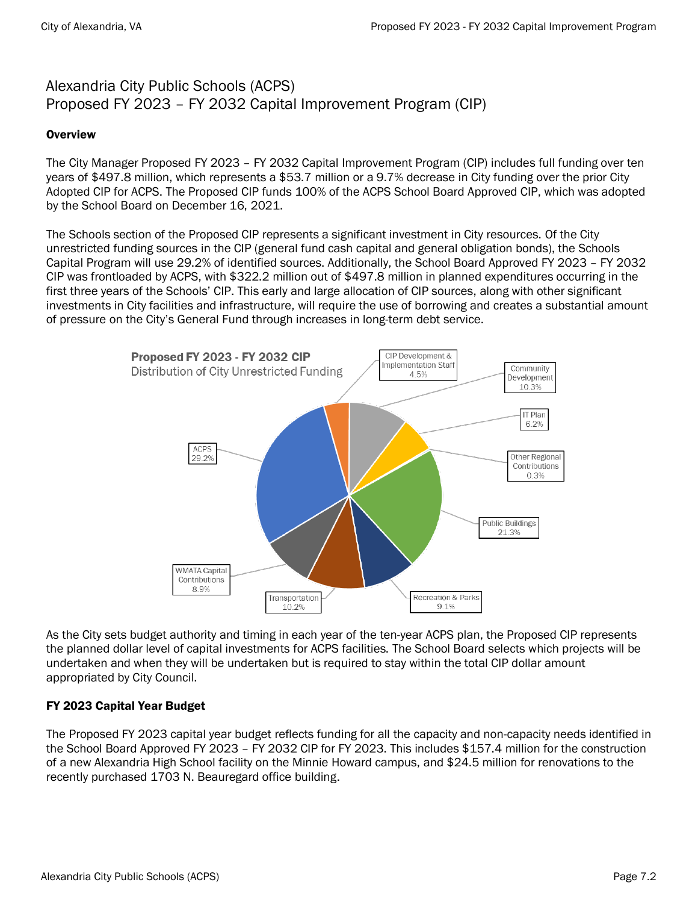## Alexandria City Public Schools (ACPS) Proposed FY 2023 – FY 2032 Capital Improvement Program (CIP)

#### **Overview**

The City Manager Proposed FY 2023 – FY 2032 Capital Improvement Program (CIP) includes full funding over ten years of \$497.8 million, which represents a \$53.7 million or a 9.7% decrease in City funding over the prior City Adopted CIP for ACPS. The Proposed CIP funds 100% of the ACPS School Board Approved CIP, which was adopted by the School Board on December 16, 2021.

The Schools section of the Proposed CIP represents a significant investment in City resources. Of the City unrestricted funding sources in the CIP (general fund cash capital and general obligation bonds), the Schools Capital Program will use 29.2% of identified sources. Additionally, the School Board Approved FY 2023 – FY 2032 CIP was frontloaded by ACPS, with \$322.2 million out of \$497.8 million in planned expenditures occurring in the first three years of the Schools' CIP. This early and large allocation of CIP sources, along with other significant investments in City facilities and infrastructure, will require the use of borrowing and creates a substantial amount of pressure on the City's General Fund through increases in long-term debt service.



As the City sets budget authority and timing in each year of the ten-year ACPS plan, the Proposed CIP represents the planned dollar level of capital investments for ACPS facilities. The School Board selects which projects will be undertaken and when they will be undertaken but is required to stay within the total CIP dollar amount appropriated by City Council.

#### FY 2023 Capital Year Budget

The Proposed FY 2023 capital year budget reflects funding for all the capacity and non-capacity needs identified in the School Board Approved FY 2023 – FY 2032 CIP for FY 2023. This includes \$157.4 million for the construction of a new Alexandria High School facility on the Minnie Howard campus, and \$24.5 million for renovations to the recently purchased 1703 N. Beauregard office building.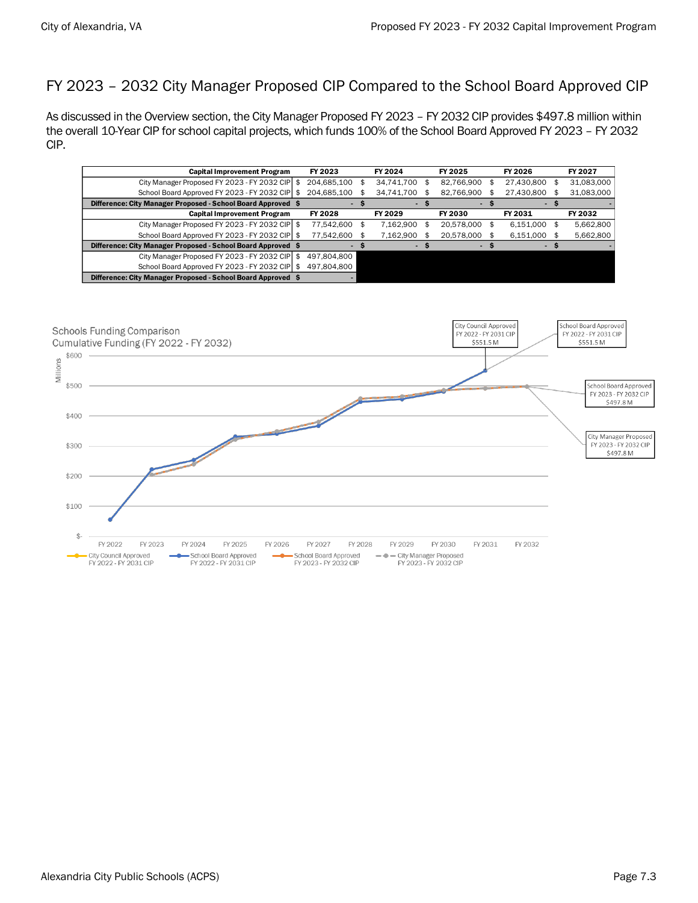# FY 2023 – 2032 City Manager Proposed CIP Compared to the School Board Approved CIP

As discussed in the Overview section, the City Manager Proposed FY 2023 – FY 2032 CIP provides \$497.8 million within the overall 10-Year CIP for school capital projects, which funds 100% of the School Board Approved FY 2023 – FY 2032 CIP.

| <b>Capital Improvement Program</b>                           |  | FY 2024<br>FY 2023       |    |            | FY 2025 |            |     | FY 2026    | FY 2027    |  |
|--------------------------------------------------------------|--|--------------------------|----|------------|---------|------------|-----|------------|------------|--|
| City Manager Proposed FY 2023 - FY 2032 CIP                  |  | 204.685.100              |    | 34.741.700 | S       | 82.766.900 | Æ.  | 27.430.800 | 31,083,000 |  |
| School Board Approved FY 2023 - FY 2032 CIP                  |  | 204,685,100              |    | 34.741.700 |         | 82,766,900 |     | 27.430.800 | 31,083,000 |  |
| Difference: City Manager Proposed - School Board Approved \$ |  |                          |    |            |         |            |     |            |            |  |
| <b>Capital Improvement Program</b>                           |  | FY 2028                  |    | FY 2029    |         | FY 2030    |     | FY 2031    | FY 2032    |  |
| City Manager Proposed FY 2023 - FY 2032 CIP \$               |  | 77,542,600               | \$ | 7.162.900  |         | 20.578.000 | \$. | 6.151.000  | 5,662,800  |  |
| School Board Approved FY 2023 - FY 2032 CIP \$               |  | 77,542,600               |    | 7,162,900  |         | 20.578.000 |     | 6,151,000  | 5,662,800  |  |
| Difference: City Manager Proposed - School Board Approved \$ |  | $\overline{\phantom{a}}$ |    | ٠          |         | ٠          |     |            |            |  |
| City Manager Proposed FY 2023 - FY 2032 CIP \$               |  | 497.804.800              |    |            |         |            |     |            |            |  |
| School Board Approved FY 2023 - FY 2032 CIP \$               |  | 497,804,800              |    |            |         |            |     |            |            |  |
| Difference: City Manager Proposed - School Board Approved \$ |  |                          |    |            |         |            |     |            |            |  |

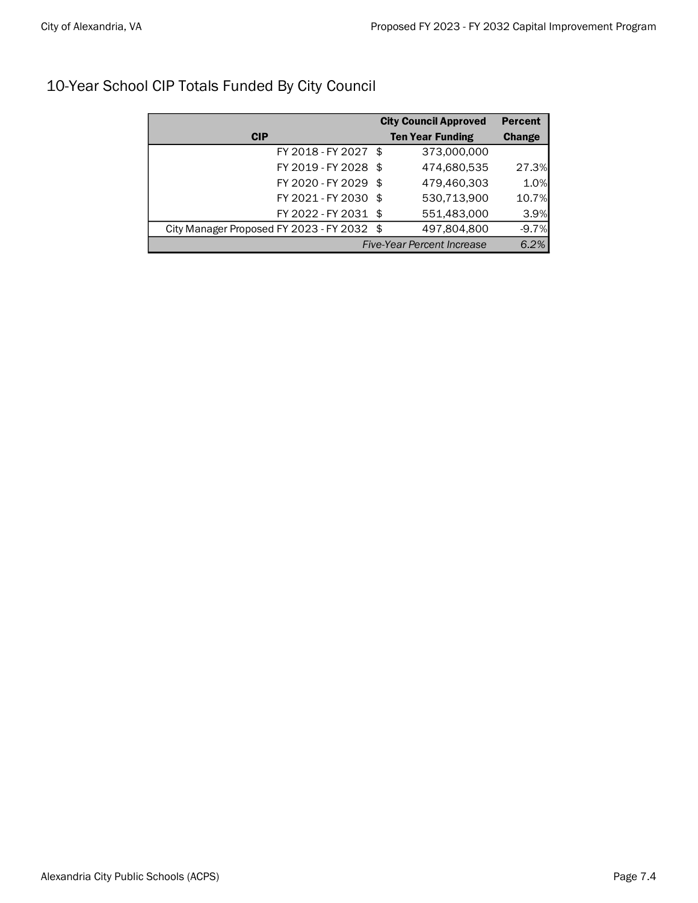| 10-Year School CIP Totals Funded By City Council |  |
|--------------------------------------------------|--|
|                                                  |  |

|                                            | <b>City Council Approved</b> | <b>Percent</b> |  |  |
|--------------------------------------------|------------------------------|----------------|--|--|
| <b>CIP</b>                                 | <b>Ten Year Funding</b>      | <b>Change</b>  |  |  |
| FY 2018 - FY 2027 \$                       | 373,000,000                  |                |  |  |
| FY 2019 - FY 2028 \$                       | 474,680,535                  | 27.3%          |  |  |
| FY 2020 - FY 2029 \$                       | 479,460,303                  | 1.0%           |  |  |
| FY 2021 - FY 2030 \$                       | 530,713,900                  | 10.7%          |  |  |
| FY 2022 - FY 2031 \$                       | 551,483,000                  | 3.9%           |  |  |
| City Manager Proposed FY 2023 - FY 2032 \$ | 497,804,800                  | $-9.7%$        |  |  |
| <b>Five-Year Percent Increase</b>          | 6.2%                         |                |  |  |